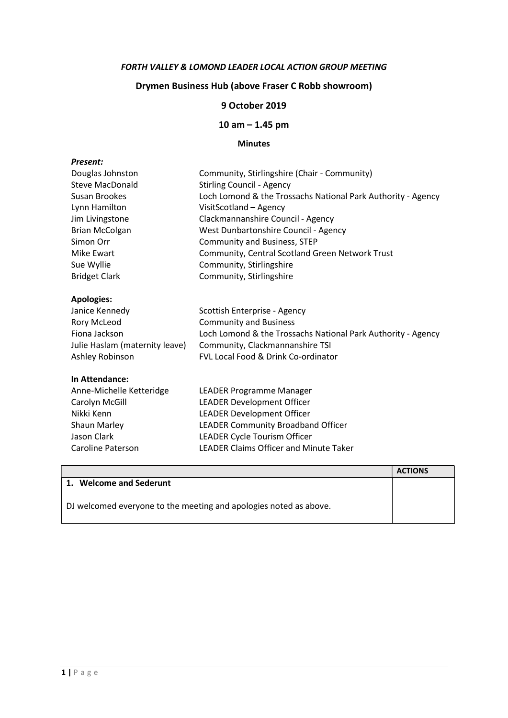### FORTH VALLEY & LOMOND LEADER LOCAL ACTION GROUP MEETING

# Drymen Business Hub (above Fraser C Robb showroom)

## 9 October 2019

## 10 am – 1.45 pm

#### Minutes

| Douglas Johnston               | Community, Stirlingshire (Chair - Community)                 |
|--------------------------------|--------------------------------------------------------------|
| Steve MacDonald                | <b>Stirling Council - Agency</b>                             |
| Susan Brookes                  | Loch Lomond & the Trossachs National Park Authority - Agency |
| Lynn Hamilton                  | VisitScotland - Agency                                       |
| Jim Livingstone                | Clackmannanshire Council - Agency                            |
| <b>Brian McColgan</b>          | West Dunbartonshire Council - Agency                         |
| Simon Orr                      | <b>Community and Business, STEP</b>                          |
| Mike Ewart                     | Community, Central Scotland Green Network Trust              |
| Sue Wyllie                     | Community, Stirlingshire                                     |
| <b>Bridget Clark</b>           | Community, Stirlingshire                                     |
| <b>Apologies:</b>              |                                                              |
| Janice Kennedy                 | Scottish Enterprise - Agency                                 |
| Rory McLeod                    | <b>Community and Business</b>                                |
| Fiona Jackson                  | Loch Lomond & the Trossachs National Park Authority - Agency |
| Julie Haslam (maternity leave) | Community, Clackmannanshire TSI                              |
| Ashley Robinson                | <b>FVL Local Food &amp; Drink Co-ordinator</b>               |
| In Attendance:                 |                                                              |
| Anne-Michelle Ketteridge       | LEADER Programme Manager                                     |
| Carolyn McGill                 | <b>LEADER Development Officer</b>                            |
| Nikki Kenn                     | <b>LEADER Development Officer</b>                            |
| Shaun Marley                   | LEADER Community Broadband Officer                           |
| Jason Clark                    | LEADER Cycle Tourism Officer                                 |
| Caroline Paterson              | <b>LEADER Claims Officer and Minute Taker</b>                |

|                                                                   | <b>ACTIONS</b> |
|-------------------------------------------------------------------|----------------|
| 1. Welcome and Sederunt                                           |                |
| DJ welcomed everyone to the meeting and apologies noted as above. |                |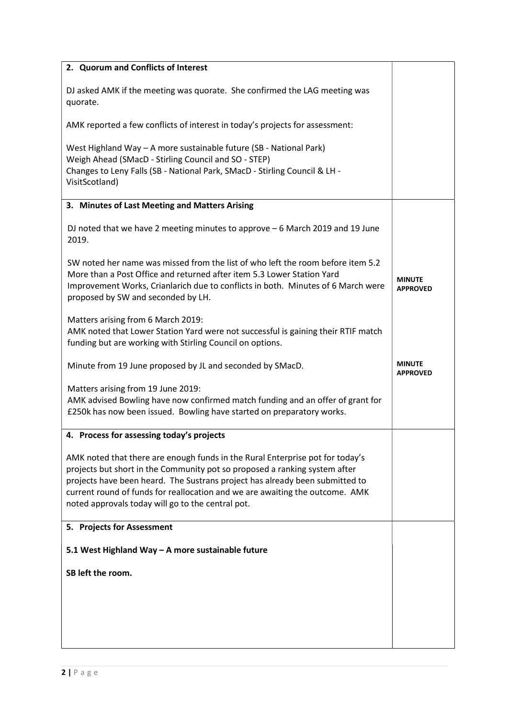| 2. Quorum and Conflicts of Interest                                                                                                                                                                                                                                                                                                                                              |                                  |
|----------------------------------------------------------------------------------------------------------------------------------------------------------------------------------------------------------------------------------------------------------------------------------------------------------------------------------------------------------------------------------|----------------------------------|
| DJ asked AMK if the meeting was quorate. She confirmed the LAG meeting was<br>quorate.                                                                                                                                                                                                                                                                                           |                                  |
| AMK reported a few conflicts of interest in today's projects for assessment:                                                                                                                                                                                                                                                                                                     |                                  |
| West Highland Way - A more sustainable future (SB - National Park)<br>Weigh Ahead (SMacD - Stirling Council and SO - STEP)<br>Changes to Leny Falls (SB - National Park, SMacD - Stirling Council & LH -<br>VisitScotland)                                                                                                                                                       |                                  |
| 3. Minutes of Last Meeting and Matters Arising                                                                                                                                                                                                                                                                                                                                   |                                  |
| DJ noted that we have 2 meeting minutes to approve - 6 March 2019 and 19 June<br>2019.                                                                                                                                                                                                                                                                                           |                                  |
| SW noted her name was missed from the list of who left the room before item 5.2<br>More than a Post Office and returned after item 5.3 Lower Station Yard<br>Improvement Works, Crianlarich due to conflicts in both. Minutes of 6 March were<br>proposed by SW and seconded by LH.                                                                                              | <b>MINUTE</b><br><b>APPROVED</b> |
| Matters arising from 6 March 2019:<br>AMK noted that Lower Station Yard were not successful is gaining their RTIF match<br>funding but are working with Stirling Council on options.                                                                                                                                                                                             |                                  |
|                                                                                                                                                                                                                                                                                                                                                                                  |                                  |
| Minute from 19 June proposed by JL and seconded by SMacD.                                                                                                                                                                                                                                                                                                                        | <b>MINUTE</b><br><b>APPROVED</b> |
| Matters arising from 19 June 2019:<br>AMK advised Bowling have now confirmed match funding and an offer of grant for<br>£250k has now been issued. Bowling have started on preparatory works.                                                                                                                                                                                    |                                  |
| 4. Process for assessing today's projects                                                                                                                                                                                                                                                                                                                                        |                                  |
| AMK noted that there are enough funds in the Rural Enterprise pot for today's<br>projects but short in the Community pot so proposed a ranking system after<br>projects have been heard. The Sustrans project has already been submitted to<br>current round of funds for reallocation and we are awaiting the outcome. AMK<br>noted approvals today will go to the central pot. |                                  |
| 5. Projects for Assessment                                                                                                                                                                                                                                                                                                                                                       |                                  |
| 5.1 West Highland Way - A more sustainable future                                                                                                                                                                                                                                                                                                                                |                                  |
| SB left the room.                                                                                                                                                                                                                                                                                                                                                                |                                  |
|                                                                                                                                                                                                                                                                                                                                                                                  |                                  |
|                                                                                                                                                                                                                                                                                                                                                                                  |                                  |
|                                                                                                                                                                                                                                                                                                                                                                                  |                                  |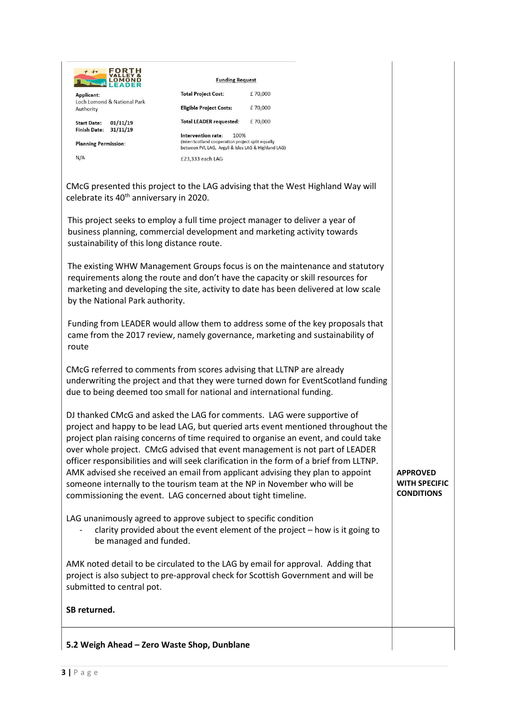| FORTH<br>$f + r$                                                                                                                               | <b>Funding Request</b>                                                                                                                 |                                                                                                                                                                                                                                                                                                                                                                                                                                                                                                                 |                                                              |
|------------------------------------------------------------------------------------------------------------------------------------------------|----------------------------------------------------------------------------------------------------------------------------------------|-----------------------------------------------------------------------------------------------------------------------------------------------------------------------------------------------------------------------------------------------------------------------------------------------------------------------------------------------------------------------------------------------------------------------------------------------------------------------------------------------------------------|--------------------------------------------------------------|
| Applicant:<br>Loch Lomond & National Park                                                                                                      | <b>Total Project Cost:</b>                                                                                                             | £70,000                                                                                                                                                                                                                                                                                                                                                                                                                                                                                                         |                                                              |
| Authority                                                                                                                                      | <b>Eligible Project Costs:</b>                                                                                                         | £70,000                                                                                                                                                                                                                                                                                                                                                                                                                                                                                                         |                                                              |
| 01/11/19<br><b>Start Date:</b><br>Finish Date: 31/11/19                                                                                        | <b>Total LEADER requested:</b>                                                                                                         | £70,000                                                                                                                                                                                                                                                                                                                                                                                                                                                                                                         |                                                              |
| <b>Planning Permission:</b>                                                                                                                    | Intervention rate:<br>100%<br>(Inter-Scotland cooperation project split equally<br>between FVL LAG, Argyll & Isles LAG & Highland LAG) |                                                                                                                                                                                                                                                                                                                                                                                                                                                                                                                 |                                                              |
| N/A                                                                                                                                            | £23,333 each LAG                                                                                                                       |                                                                                                                                                                                                                                                                                                                                                                                                                                                                                                                 |                                                              |
|                                                                                                                                                |                                                                                                                                        |                                                                                                                                                                                                                                                                                                                                                                                                                                                                                                                 |                                                              |
| celebrate its 40 <sup>th</sup> anniversary in 2020.                                                                                            |                                                                                                                                        | CMcG presented this project to the LAG advising that the West Highland Way will                                                                                                                                                                                                                                                                                                                                                                                                                                 |                                                              |
| sustainability of this long distance route.                                                                                                    |                                                                                                                                        | This project seeks to employ a full time project manager to deliver a year of<br>business planning, commercial development and marketing activity towards                                                                                                                                                                                                                                                                                                                                                       |                                                              |
| by the National Park authority.                                                                                                                |                                                                                                                                        | The existing WHW Management Groups focus is on the maintenance and statutory<br>requirements along the route and don't have the capacity or skill resources for<br>marketing and developing the site, activity to date has been delivered at low scale                                                                                                                                                                                                                                                          |                                                              |
| route                                                                                                                                          |                                                                                                                                        | Funding from LEADER would allow them to address some of the key proposals that<br>came from the 2017 review, namely governance, marketing and sustainability of                                                                                                                                                                                                                                                                                                                                                 |                                                              |
| CMcG referred to comments from scores advising that LLTNP are already<br>due to being deemed too small for national and international funding. |                                                                                                                                        | underwriting the project and that they were turned down for EventScotland funding                                                                                                                                                                                                                                                                                                                                                                                                                               |                                                              |
| someone internally to the tourism team at the NP in November who will be<br>commissioning the event. LAG concerned about tight timeline.       |                                                                                                                                        | DJ thanked CMcG and asked the LAG for comments. LAG were supportive of<br>project and happy to be lead LAG, but queried arts event mentioned throughout the<br>project plan raising concerns of time required to organise an event, and could take<br>over whole project. CMcG advised that event management is not part of LEADER<br>officer responsibilities and will seek clarification in the form of a brief from LLTNP.<br>AMK advised she received an email from applicant advising they plan to appoint | <b>APPROVED</b><br><b>WITH SPECIFIC</b><br><b>CONDITIONS</b> |
| LAG unanimously agreed to approve subject to specific condition<br>be managed and funded.                                                      |                                                                                                                                        | clarity provided about the event element of the project - how is it going to                                                                                                                                                                                                                                                                                                                                                                                                                                    |                                                              |
| submitted to central pot.                                                                                                                      |                                                                                                                                        | AMK noted detail to be circulated to the LAG by email for approval. Adding that<br>project is also subject to pre-approval check for Scottish Government and will be                                                                                                                                                                                                                                                                                                                                            |                                                              |
| SB returned.                                                                                                                                   |                                                                                                                                        |                                                                                                                                                                                                                                                                                                                                                                                                                                                                                                                 |                                                              |
| 5.2 Weigh Ahead - Zero Waste Shop, Dunblane                                                                                                    |                                                                                                                                        |                                                                                                                                                                                                                                                                                                                                                                                                                                                                                                                 |                                                              |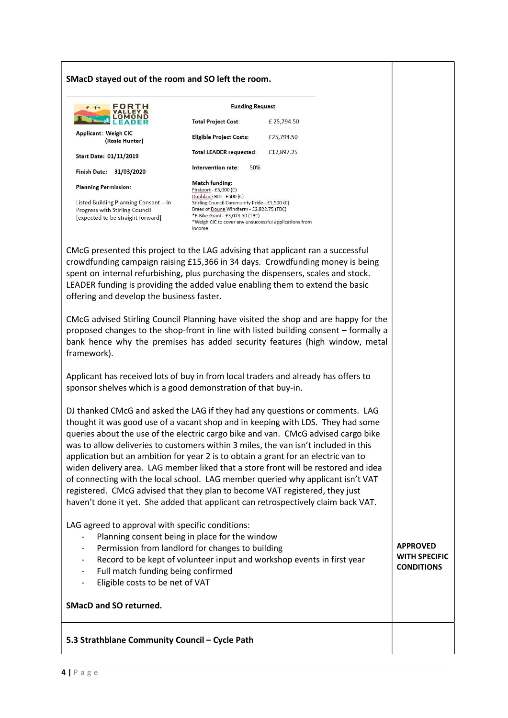### SMacD stayed out of the room and SO left the room.

| FORTH<br>$f + r$                                                                                             | <b>Funding Request</b>                                                                                                                                                                                                       |             |
|--------------------------------------------------------------------------------------------------------------|------------------------------------------------------------------------------------------------------------------------------------------------------------------------------------------------------------------------------|-------------|
|                                                                                                              | <b>Total Project Cost:</b>                                                                                                                                                                                                   | £ 25,794.50 |
| Applicant: Weigh CIC<br>(Rosie Hunter)                                                                       | <b>Eligible Project Costs:</b>                                                                                                                                                                                               | £25.794.50  |
| <b>Start Date: 01/11/2019</b>                                                                                | Total LEADER requested:                                                                                                                                                                                                      | £12,897.25  |
| 31/03/2020<br><b>Finish Date:</b>                                                                            | Intervention rate:<br>50%                                                                                                                                                                                                    |             |
| <b>Planning Permission:</b>                                                                                  | Match funding:<br>Firstport - £5,000 (C)                                                                                                                                                                                     |             |
| Listed Building Planning Consent - In<br>Progress with Stirling Council<br>[expected to be straight forward] | Dunblane BID - £500 (C)<br>Stirling Council Community Pride - £1,500 (C)<br>Braes of Doune Windfarm - £2,822.75 (TBC)<br>*E-Bike Grant - £3,074.50 (TBC)<br>*Weigh CIC to cover any unsuccessful applications from<br>income |             |

CMcG presented this project to the LAG advising that applicant ran a successful crowdfunding campaign raising £15,366 in 34 days. Crowdfunding money is being spent on internal refurbishing, plus purchasing the dispensers, scales and stock. LEADER funding is providing the added value enabling them to extend the basic offering and develop the business faster.

CMcG advised Stirling Council Planning have visited the shop and are happy for the proposed changes to the shop-front in line with listed building consent – formally a bank hence why the premises has added security features (high window, metal framework).

Applicant has received lots of buy in from local traders and already has offers to sponsor shelves which is a good demonstration of that buy-in.

DJ thanked CMcG and asked the LAG if they had any questions or comments. LAG thought it was good use of a vacant shop and in keeping with LDS. They had some queries about the use of the electric cargo bike and van. CMcG advised cargo bike was to allow deliveries to customers within 3 miles, the van isn't included in this application but an ambition for year 2 is to obtain a grant for an electric van to widen delivery area. LAG member liked that a store front will be restored and idea of connecting with the local school. LAG member queried why applicant isn't VAT registered. CMcG advised that they plan to become VAT registered, they just haven't done it yet. She added that applicant can retrospectively claim back VAT.

LAG agreed to approval with specific conditions:

- Planning consent being in place for the window
- Permission from landlord for changes to building
- Record to be kept of volunteer input and workshop events in first year

APPROVED WITH SPECIFIC **CONDITIONS** 

- Full match funding being confirmed
- Eligible costs to be net of VAT

#### SMacD and SO returned.

### 5.3 Strathblane Community Council – Cycle Path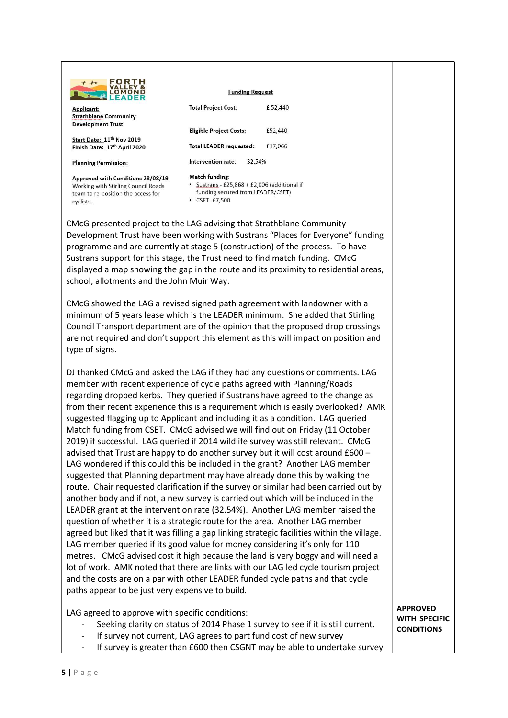

team to re-position the access for

cyclists

| <b>ALLEADER</b>                                                       |                                        |         |
|-----------------------------------------------------------------------|----------------------------------------|---------|
| Applicant:                                                            | <b>Total Project Cost:</b>             | £52.440 |
| <b>Strathblane Community</b>                                          |                                        |         |
| <b>Development Trust</b>                                              | <b>Eligible Project Costs:</b>         | £52,440 |
| Start Date: 11 <sup>th</sup> Nov 2019<br>Finish Date: 17th April 2020 | <b>Total LEADER requested:</b>         | £17,066 |
| <b>Planning Permission:</b>                                           | 32.54%<br>Intervention rate:           |         |
| Approved with Conditions 28/08/19                                     | Match funding:                         |         |
| Working with Stirling Council Roads                                   | Sustrans - £25,868 + £2,006 (additiona |         |

funding secured from LEADER/CSET)

**Funding Request** 

 $\cdot$  CSET-£7.500

CMcG presented project to the LAG advising that Strathblane Community Development Trust have been working with Sustrans "Places for Everyone" funding programme and are currently at stage 5 (construction) of the process. To have Sustrans support for this stage, the Trust need to find match funding. CMcG displayed a map showing the gap in the route and its proximity to residential areas, school, allotments and the John Muir Way.

CMcG showed the LAG a revised signed path agreement with landowner with a minimum of 5 years lease which is the LEADER minimum. She added that Stirling Council Transport department are of the opinion that the proposed drop crossings are not required and don't support this element as this will impact on position and type of signs.

DJ thanked CMcG and asked the LAG if they had any questions or comments. LAG member with recent experience of cycle paths agreed with Planning/Roads regarding dropped kerbs. They queried if Sustrans have agreed to the change as from their recent experience this is a requirement which is easily overlooked? AMK suggested flagging up to Applicant and including it as a condition. LAG queried Match funding from CSET. CMcG advised we will find out on Friday (11 October 2019) if successful. LAG queried if 2014 wildlife survey was still relevant. CMcG advised that Trust are happy to do another survey but it will cost around £600 – LAG wondered if this could this be included in the grant? Another LAG member suggested that Planning department may have already done this by walking the route. Chair requested clarification if the survey or similar had been carried out by another body and if not, a new survey is carried out which will be included in the LEADER grant at the intervention rate (32.54%). Another LAG member raised the question of whether it is a strategic route for the area. Another LAG member agreed but liked that it was filling a gap linking strategic facilities within the village. LAG member queried if its good value for money considering it's only for 110 metres. CMcG advised cost it high because the land is very boggy and will need a lot of work. AMK noted that there are links with our LAG led cycle tourism project and the costs are on a par with other LEADER funded cycle paths and that cycle paths appear to be just very expensive to build.

LAG agreed to approve with specific conditions:

- Seeking clarity on status of 2014 Phase 1 survey to see if it is still current.
- If survey not current, LAG agrees to part fund cost of new survey
- If survey is greater than £600 then CSGNT may be able to undertake survey

APPROVED WITH SPECIFIC **CONDITIONS**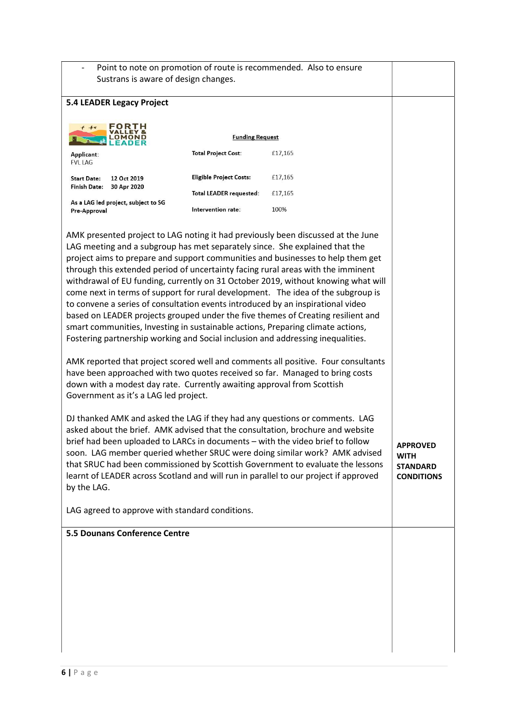- Point to note on promotion of route is recommended. Also to ensure Sustrans is aware of design changes.

| astrains is aware or acsign changes.                                                                                                                                                                                                                                                                                                                                                                                                                                                                                                                                                                                                                                                                                                                                                                                                                                                                                                                                                                                                                                                                                                                                                                                                                                                                 |                                |                                                                                                                                                                                                                                                                                                                                                                                                                           |                                                                        |
|------------------------------------------------------------------------------------------------------------------------------------------------------------------------------------------------------------------------------------------------------------------------------------------------------------------------------------------------------------------------------------------------------------------------------------------------------------------------------------------------------------------------------------------------------------------------------------------------------------------------------------------------------------------------------------------------------------------------------------------------------------------------------------------------------------------------------------------------------------------------------------------------------------------------------------------------------------------------------------------------------------------------------------------------------------------------------------------------------------------------------------------------------------------------------------------------------------------------------------------------------------------------------------------------------|--------------------------------|---------------------------------------------------------------------------------------------------------------------------------------------------------------------------------------------------------------------------------------------------------------------------------------------------------------------------------------------------------------------------------------------------------------------------|------------------------------------------------------------------------|
| <b>5.4 LEADER Legacy Project</b>                                                                                                                                                                                                                                                                                                                                                                                                                                                                                                                                                                                                                                                                                                                                                                                                                                                                                                                                                                                                                                                                                                                                                                                                                                                                     |                                |                                                                                                                                                                                                                                                                                                                                                                                                                           |                                                                        |
| =0RT<br>$+r$                                                                                                                                                                                                                                                                                                                                                                                                                                                                                                                                                                                                                                                                                                                                                                                                                                                                                                                                                                                                                                                                                                                                                                                                                                                                                         | <b>Funding Request</b>         |                                                                                                                                                                                                                                                                                                                                                                                                                           |                                                                        |
|                                                                                                                                                                                                                                                                                                                                                                                                                                                                                                                                                                                                                                                                                                                                                                                                                                                                                                                                                                                                                                                                                                                                                                                                                                                                                                      |                                |                                                                                                                                                                                                                                                                                                                                                                                                                           |                                                                        |
| Applicant:<br><b>FVL LAG</b>                                                                                                                                                                                                                                                                                                                                                                                                                                                                                                                                                                                                                                                                                                                                                                                                                                                                                                                                                                                                                                                                                                                                                                                                                                                                         | <b>Total Project Cost:</b>     | £17,165                                                                                                                                                                                                                                                                                                                                                                                                                   |                                                                        |
| 12 Oct 2019<br><b>Start Date:</b><br><b>Finish Date:</b><br>30 Apr 2020                                                                                                                                                                                                                                                                                                                                                                                                                                                                                                                                                                                                                                                                                                                                                                                                                                                                                                                                                                                                                                                                                                                                                                                                                              | <b>Eligible Project Costs:</b> | £17,165                                                                                                                                                                                                                                                                                                                                                                                                                   |                                                                        |
|                                                                                                                                                                                                                                                                                                                                                                                                                                                                                                                                                                                                                                                                                                                                                                                                                                                                                                                                                                                                                                                                                                                                                                                                                                                                                                      | <b>Total LEADER requested:</b> | £17,165                                                                                                                                                                                                                                                                                                                                                                                                                   |                                                                        |
| As a LAG led project, subject to SG<br>Pre-Approval                                                                                                                                                                                                                                                                                                                                                                                                                                                                                                                                                                                                                                                                                                                                                                                                                                                                                                                                                                                                                                                                                                                                                                                                                                                  | Intervention rate:             | 100%                                                                                                                                                                                                                                                                                                                                                                                                                      |                                                                        |
| AMK presented project to LAG noting it had previously been discussed at the June<br>LAG meeting and a subgroup has met separately since. She explained that the<br>through this extended period of uncertainty facing rural areas with the imminent<br>come next in terms of support for rural development. The idea of the subgroup is<br>to convene a series of consultation events introduced by an inspirational video<br>based on LEADER projects grouped under the five themes of Creating resilient and<br>smart communities, Investing in sustainable actions, Preparing climate actions,<br>Fostering partnership working and Social inclusion and addressing inequalities.<br>have been approached with two quotes received so far. Managed to bring costs<br>down with a modest day rate. Currently awaiting approval from Scottish<br>Government as it's a LAG led project.<br>DJ thanked AMK and asked the LAG if they had any questions or comments. LAG<br>asked about the brief. AMK advised that the consultation, brochure and website<br>brief had been uploaded to LARCs in documents - with the video brief to follow<br>learnt of LEADER across Scotland and will run in parallel to our project if approved<br>by the LAG.<br>LAG agreed to approve with standard conditions. |                                | project aims to prepare and support communities and businesses to help them get<br>withdrawal of EU funding, currently on 31 October 2019, without knowing what will<br>AMK reported that project scored well and comments all positive. Four consultants<br>soon. LAG member queried whether SRUC were doing similar work? AMK advised<br>that SRUC had been commissioned by Scottish Government to evaluate the lessons | <b>APPROVED</b><br><b>WITH</b><br><b>STANDARD</b><br><b>CONDITIONS</b> |
|                                                                                                                                                                                                                                                                                                                                                                                                                                                                                                                                                                                                                                                                                                                                                                                                                                                                                                                                                                                                                                                                                                                                                                                                                                                                                                      |                                |                                                                                                                                                                                                                                                                                                                                                                                                                           |                                                                        |
| <b>5.5 Dounans Conference Centre</b>                                                                                                                                                                                                                                                                                                                                                                                                                                                                                                                                                                                                                                                                                                                                                                                                                                                                                                                                                                                                                                                                                                                                                                                                                                                                 |                                |                                                                                                                                                                                                                                                                                                                                                                                                                           |                                                                        |
|                                                                                                                                                                                                                                                                                                                                                                                                                                                                                                                                                                                                                                                                                                                                                                                                                                                                                                                                                                                                                                                                                                                                                                                                                                                                                                      |                                |                                                                                                                                                                                                                                                                                                                                                                                                                           |                                                                        |
|                                                                                                                                                                                                                                                                                                                                                                                                                                                                                                                                                                                                                                                                                                                                                                                                                                                                                                                                                                                                                                                                                                                                                                                                                                                                                                      |                                |                                                                                                                                                                                                                                                                                                                                                                                                                           |                                                                        |
|                                                                                                                                                                                                                                                                                                                                                                                                                                                                                                                                                                                                                                                                                                                                                                                                                                                                                                                                                                                                                                                                                                                                                                                                                                                                                                      |                                |                                                                                                                                                                                                                                                                                                                                                                                                                           |                                                                        |
|                                                                                                                                                                                                                                                                                                                                                                                                                                                                                                                                                                                                                                                                                                                                                                                                                                                                                                                                                                                                                                                                                                                                                                                                                                                                                                      |                                |                                                                                                                                                                                                                                                                                                                                                                                                                           |                                                                        |
|                                                                                                                                                                                                                                                                                                                                                                                                                                                                                                                                                                                                                                                                                                                                                                                                                                                                                                                                                                                                                                                                                                                                                                                                                                                                                                      |                                |                                                                                                                                                                                                                                                                                                                                                                                                                           |                                                                        |
|                                                                                                                                                                                                                                                                                                                                                                                                                                                                                                                                                                                                                                                                                                                                                                                                                                                                                                                                                                                                                                                                                                                                                                                                                                                                                                      |                                |                                                                                                                                                                                                                                                                                                                                                                                                                           |                                                                        |
|                                                                                                                                                                                                                                                                                                                                                                                                                                                                                                                                                                                                                                                                                                                                                                                                                                                                                                                                                                                                                                                                                                                                                                                                                                                                                                      |                                |                                                                                                                                                                                                                                                                                                                                                                                                                           |                                                                        |
|                                                                                                                                                                                                                                                                                                                                                                                                                                                                                                                                                                                                                                                                                                                                                                                                                                                                                                                                                                                                                                                                                                                                                                                                                                                                                                      |                                |                                                                                                                                                                                                                                                                                                                                                                                                                           |                                                                        |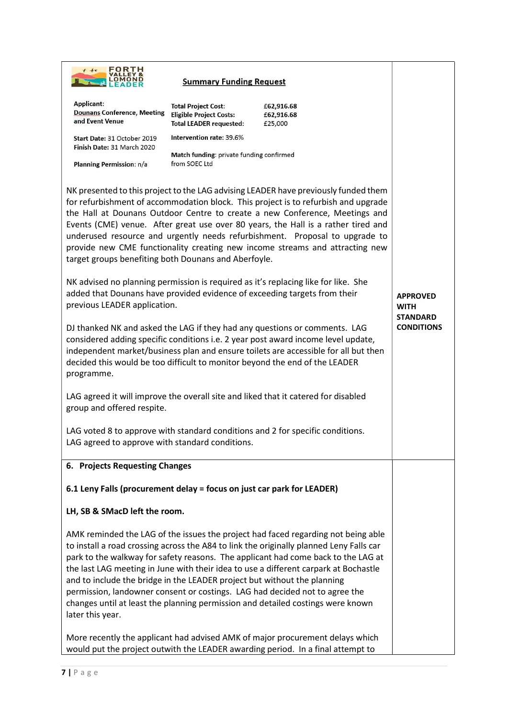| FORTH               |
|---------------------|
| <b>VALLEY &amp;</b> |
| <b>LOMOND</b>       |
|                     |

# **Summary Funding Request**

| Applicant:<br><b>Dounans Conference, Meeting</b><br>and Event Venue                                                                                                                                                                                                                                                                                 | <b>Total Project Cost:</b><br><b>Eligible Project Costs:</b><br><b>Total LEADER requested:</b> | £62,916.68<br>£62,916.68<br>£25,000                                                                                                                                                                                                                                                                                                                                                                                                                                                                                         |                                                   |
|-----------------------------------------------------------------------------------------------------------------------------------------------------------------------------------------------------------------------------------------------------------------------------------------------------------------------------------------------------|------------------------------------------------------------------------------------------------|-----------------------------------------------------------------------------------------------------------------------------------------------------------------------------------------------------------------------------------------------------------------------------------------------------------------------------------------------------------------------------------------------------------------------------------------------------------------------------------------------------------------------------|---------------------------------------------------|
| Start Date: 31 October 2019<br>Finish Date: 31 March 2020                                                                                                                                                                                                                                                                                           | Intervention rate: 39.6%                                                                       |                                                                                                                                                                                                                                                                                                                                                                                                                                                                                                                             |                                                   |
| Planning Permission: n/a                                                                                                                                                                                                                                                                                                                            | Match funding: private funding confirmed<br>from SOEC Ltd                                      |                                                                                                                                                                                                                                                                                                                                                                                                                                                                                                                             |                                                   |
|                                                                                                                                                                                                                                                                                                                                                     |                                                                                                |                                                                                                                                                                                                                                                                                                                                                                                                                                                                                                                             |                                                   |
| target groups benefiting both Dounans and Aberfoyle.                                                                                                                                                                                                                                                                                                |                                                                                                | NK presented to this project to the LAG advising LEADER have previously funded them<br>for refurbishment of accommodation block. This project is to refurbish and upgrade<br>the Hall at Dounans Outdoor Centre to create a new Conference, Meetings and<br>Events (CME) venue. After great use over 80 years, the Hall is a rather tired and<br>underused resource and urgently needs refurbishment. Proposal to upgrade to<br>provide new CME functionality creating new income streams and attracting new                |                                                   |
| NK advised no planning permission is required as it's replacing like for like. She<br>added that Dounans have provided evidence of exceeding targets from their<br>previous LEADER application.                                                                                                                                                     |                                                                                                |                                                                                                                                                                                                                                                                                                                                                                                                                                                                                                                             | <b>APPROVED</b><br><b>WITH</b><br><b>STANDARD</b> |
| DJ thanked NK and asked the LAG if they had any questions or comments. LAG<br>considered adding specific conditions i.e. 2 year post award income level update,<br>independent market/business plan and ensure toilets are accessible for all but then<br>decided this would be too difficult to monitor beyond the end of the LEADER<br>programme. |                                                                                                |                                                                                                                                                                                                                                                                                                                                                                                                                                                                                                                             | <b>CONDITIONS</b>                                 |
| group and offered respite.                                                                                                                                                                                                                                                                                                                          |                                                                                                | LAG agreed it will improve the overall site and liked that it catered for disabled                                                                                                                                                                                                                                                                                                                                                                                                                                          |                                                   |
| LAG agreed to approve with standard conditions.                                                                                                                                                                                                                                                                                                     |                                                                                                | LAG voted 8 to approve with standard conditions and 2 for specific conditions.                                                                                                                                                                                                                                                                                                                                                                                                                                              |                                                   |
| 6. Projects Requesting Changes                                                                                                                                                                                                                                                                                                                      |                                                                                                |                                                                                                                                                                                                                                                                                                                                                                                                                                                                                                                             |                                                   |
| 6.1 Leny Falls (procurement delay = focus on just car park for LEADER)                                                                                                                                                                                                                                                                              |                                                                                                |                                                                                                                                                                                                                                                                                                                                                                                                                                                                                                                             |                                                   |
| LH, SB & SMacD left the room.                                                                                                                                                                                                                                                                                                                       |                                                                                                |                                                                                                                                                                                                                                                                                                                                                                                                                                                                                                                             |                                                   |
| and to include the bridge in the LEADER project but without the planning<br>later this year.                                                                                                                                                                                                                                                        |                                                                                                | AMK reminded the LAG of the issues the project had faced regarding not being able<br>to install a road crossing across the A84 to link the originally planned Leny Falls car<br>park to the walkway for safety reasons. The applicant had come back to the LAG at<br>the last LAG meeting in June with their idea to use a different carpark at Bochastle<br>permission, landowner consent or costings. LAG had decided not to agree the<br>changes until at least the planning permission and detailed costings were known |                                                   |
|                                                                                                                                                                                                                                                                                                                                                     |                                                                                                | More recently the applicant had advised AMK of major procurement delays which<br>would put the project outwith the LEADER awarding period. In a final attempt to                                                                                                                                                                                                                                                                                                                                                            |                                                   |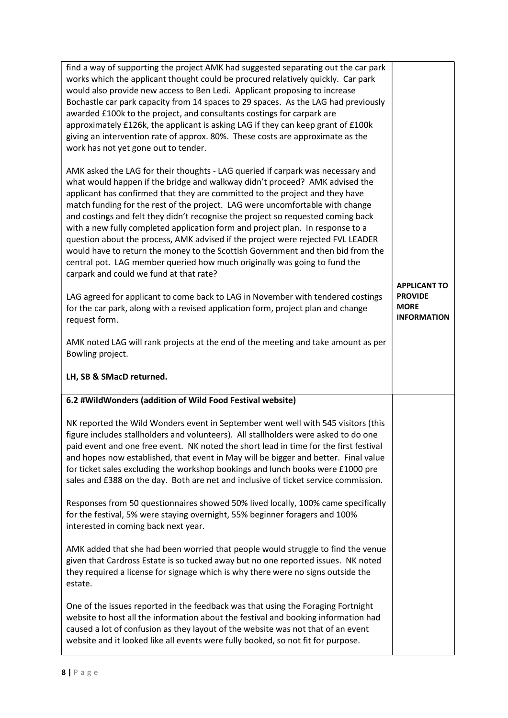| find a way of supporting the project AMK had suggested separating out the car park<br>works which the applicant thought could be procured relatively quickly. Car park<br>would also provide new access to Ben Ledi. Applicant proposing to increase<br>Bochastle car park capacity from 14 spaces to 29 spaces. As the LAG had previously<br>awarded £100k to the project, and consultants costings for carpark are<br>approximately £126k, the applicant is asking LAG if they can keep grant of £100k<br>giving an intervention rate of approx. 80%. These costs are approximate as the<br>work has not yet gone out to tender.                                                                                                                                                                  |                                                                            |
|-----------------------------------------------------------------------------------------------------------------------------------------------------------------------------------------------------------------------------------------------------------------------------------------------------------------------------------------------------------------------------------------------------------------------------------------------------------------------------------------------------------------------------------------------------------------------------------------------------------------------------------------------------------------------------------------------------------------------------------------------------------------------------------------------------|----------------------------------------------------------------------------|
| AMK asked the LAG for their thoughts - LAG queried if carpark was necessary and<br>what would happen if the bridge and walkway didn't proceed? AMK advised the<br>applicant has confirmed that they are committed to the project and they have<br>match funding for the rest of the project. LAG were uncomfortable with change<br>and costings and felt they didn't recognise the project so requested coming back<br>with a new fully completed application form and project plan. In response to a<br>question about the process, AMK advised if the project were rejected FVL LEADER<br>would have to return the money to the Scottish Government and then bid from the<br>central pot. LAG member queried how much originally was going to fund the<br>carpark and could we fund at that rate? |                                                                            |
| LAG agreed for applicant to come back to LAG in November with tendered costings<br>for the car park, along with a revised application form, project plan and change<br>request form.                                                                                                                                                                                                                                                                                                                                                                                                                                                                                                                                                                                                                | <b>APPLICANT TO</b><br><b>PROVIDE</b><br><b>MORE</b><br><b>INFORMATION</b> |
| AMK noted LAG will rank projects at the end of the meeting and take amount as per<br>Bowling project.                                                                                                                                                                                                                                                                                                                                                                                                                                                                                                                                                                                                                                                                                               |                                                                            |
|                                                                                                                                                                                                                                                                                                                                                                                                                                                                                                                                                                                                                                                                                                                                                                                                     |                                                                            |
| LH, SB & SMacD returned.                                                                                                                                                                                                                                                                                                                                                                                                                                                                                                                                                                                                                                                                                                                                                                            |                                                                            |
| 6.2 #WildWonders (addition of Wild Food Festival website)                                                                                                                                                                                                                                                                                                                                                                                                                                                                                                                                                                                                                                                                                                                                           |                                                                            |
| NK reported the Wild Wonders event in September went well with 545 visitors (this<br>figure includes stallholders and volunteers). All stallholders were asked to do one<br>paid event and one free event. NK noted the short lead in time for the first festival<br>and hopes now established, that event in May will be bigger and better. Final value<br>for ticket sales excluding the workshop bookings and lunch books were £1000 pre<br>sales and £388 on the day. Both are net and inclusive of ticket service commission.                                                                                                                                                                                                                                                                  |                                                                            |
| Responses from 50 questionnaires showed 50% lived locally, 100% came specifically<br>for the festival, 5% were staying overnight, 55% beginner foragers and 100%<br>interested in coming back next year.                                                                                                                                                                                                                                                                                                                                                                                                                                                                                                                                                                                            |                                                                            |
| AMK added that she had been worried that people would struggle to find the venue<br>given that Cardross Estate is so tucked away but no one reported issues. NK noted<br>they required a license for signage which is why there were no signs outside the<br>estate.                                                                                                                                                                                                                                                                                                                                                                                                                                                                                                                                |                                                                            |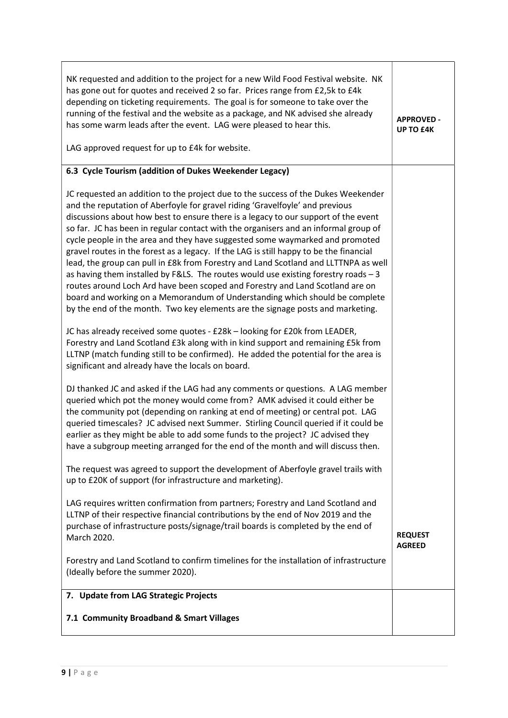| NK requested and addition to the project for a new Wild Food Festival website. NK<br>has gone out for quotes and received 2 so far. Prices range from £2,5k to £4k<br>depending on ticketing requirements. The goal is for someone to take over the<br>running of the festival and the website as a package, and NK advised she already<br>has some warm leads after the event. LAG were pleased to hear this.<br>LAG approved request for up to £4k for website.                                                                                                                                                                                                                                                                                                                                                                                                                                                                                       | <b>APPROVED -</b><br><b>UP TO £4K</b> |
|---------------------------------------------------------------------------------------------------------------------------------------------------------------------------------------------------------------------------------------------------------------------------------------------------------------------------------------------------------------------------------------------------------------------------------------------------------------------------------------------------------------------------------------------------------------------------------------------------------------------------------------------------------------------------------------------------------------------------------------------------------------------------------------------------------------------------------------------------------------------------------------------------------------------------------------------------------|---------------------------------------|
| 6.3 Cycle Tourism (addition of Dukes Weekender Legacy)                                                                                                                                                                                                                                                                                                                                                                                                                                                                                                                                                                                                                                                                                                                                                                                                                                                                                                  |                                       |
| JC requested an addition to the project due to the success of the Dukes Weekender<br>and the reputation of Aberfoyle for gravel riding 'Gravelfoyle' and previous<br>discussions about how best to ensure there is a legacy to our support of the event<br>so far. JC has been in regular contact with the organisers and an informal group of<br>cycle people in the area and they have suggested some waymarked and promoted<br>gravel routes in the forest as a legacy. If the LAG is still happy to be the financial<br>lead, the group can pull in £8k from Forestry and Land Scotland and LLTTNPA as well<br>as having them installed by F&LS. The routes would use existing forestry roads - 3<br>routes around Loch Ard have been scoped and Forestry and Land Scotland are on<br>board and working on a Memorandum of Understanding which should be complete<br>by the end of the month. Two key elements are the signage posts and marketing. |                                       |
| JC has already received some quotes - £28k - looking for £20k from LEADER,<br>Forestry and Land Scotland £3k along with in kind support and remaining £5k from<br>LLTNP (match funding still to be confirmed). He added the potential for the area is<br>significant and already have the locals on board.                                                                                                                                                                                                                                                                                                                                                                                                                                                                                                                                                                                                                                              |                                       |
| DJ thanked JC and asked if the LAG had any comments or questions. A LAG member<br>queried which pot the money would come from? AMK advised it could either be<br>the community pot (depending on ranking at end of meeting) or central pot. LAG<br>queried timescales? JC advised next Summer. Stirling Council queried if it could be<br>earlier as they might be able to add some funds to the project? JC advised they<br>have a subgroup meeting arranged for the end of the month and will discuss then.                                                                                                                                                                                                                                                                                                                                                                                                                                           |                                       |
| The request was agreed to support the development of Aberfoyle gravel trails with<br>up to £20K of support (for infrastructure and marketing).                                                                                                                                                                                                                                                                                                                                                                                                                                                                                                                                                                                                                                                                                                                                                                                                          |                                       |
| LAG requires written confirmation from partners; Forestry and Land Scotland and<br>LLTNP of their respective financial contributions by the end of Nov 2019 and the<br>purchase of infrastructure posts/signage/trail boards is completed by the end of<br>March 2020.                                                                                                                                                                                                                                                                                                                                                                                                                                                                                                                                                                                                                                                                                  | <b>REQUEST</b><br><b>AGREED</b>       |
| Forestry and Land Scotland to confirm timelines for the installation of infrastructure<br>(Ideally before the summer 2020).                                                                                                                                                                                                                                                                                                                                                                                                                                                                                                                                                                                                                                                                                                                                                                                                                             |                                       |
| 7. Update from LAG Strategic Projects                                                                                                                                                                                                                                                                                                                                                                                                                                                                                                                                                                                                                                                                                                                                                                                                                                                                                                                   |                                       |
| 7.1 Community Broadband & Smart Villages                                                                                                                                                                                                                                                                                                                                                                                                                                                                                                                                                                                                                                                                                                                                                                                                                                                                                                                |                                       |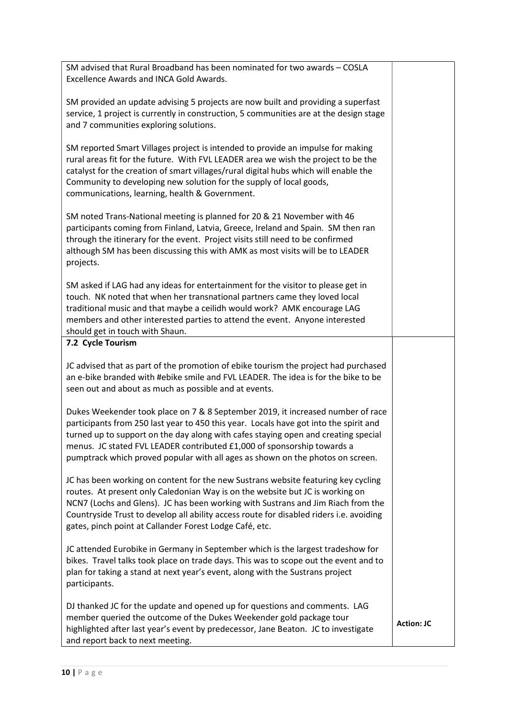SM advised that Rural Broadband has been nominated for two awards – COSLA Excellence Awards and INCA Gold Awards.

SM provided an update advising 5 projects are now built and providing a superfast service, 1 project is currently in construction, 5 communities are at the design stage and 7 communities exploring solutions.

SM reported Smart Villages project is intended to provide an impulse for making rural areas fit for the future. With FVL LEADER area we wish the project to be the catalyst for the creation of smart villages/rural digital hubs which will enable the Community to developing new solution for the supply of local goods, communications, learning, health & Government.

SM noted Trans-National meeting is planned for 20 & 21 November with 46 participants coming from Finland, Latvia, Greece, Ireland and Spain. SM then ran through the itinerary for the event. Project visits still need to be confirmed although SM has been discussing this with AMK as most visits will be to LEADER projects.

SM asked if LAG had any ideas for entertainment for the visitor to please get in touch. NK noted that when her transnational partners came they loved local traditional music and that maybe a ceilidh would work? AMK encourage LAG members and other interested parties to attend the event. Anyone interested should get in touch with Shaun.

### 7.2 Cycle Tourism

JC advised that as part of the promotion of ebike tourism the project had purchased an e-bike branded with #ebike smile and FVL LEADER. The idea is for the bike to be seen out and about as much as possible and at events.

Dukes Weekender took place on 7 & 8 September 2019, it increased number of race participants from 250 last year to 450 this year. Locals have got into the spirit and turned up to support on the day along with cafes staying open and creating special menus. JC stated FVL LEADER contributed £1,000 of sponsorship towards a pumptrack which proved popular with all ages as shown on the photos on screen.

JC has been working on content for the new Sustrans website featuring key cycling routes. At present only Caledonian Way is on the website but JC is working on NCN7 (Lochs and Glens). JC has been working with Sustrans and Jim Riach from the Countryside Trust to develop all ability access route for disabled riders i.e. avoiding gates, pinch point at Callander Forest Lodge Café, etc.

JC attended Eurobike in Germany in September which is the largest tradeshow for bikes. Travel talks took place on trade days. This was to scope out the event and to plan for taking a stand at next year's event, along with the Sustrans project participants.

DJ thanked JC for the update and opened up for questions and comments. LAG member queried the outcome of the Dukes Weekender gold package tour highlighted after last year's event by predecessor, Jane Beaton. JC to investigate and report back to next meeting.

Action: JC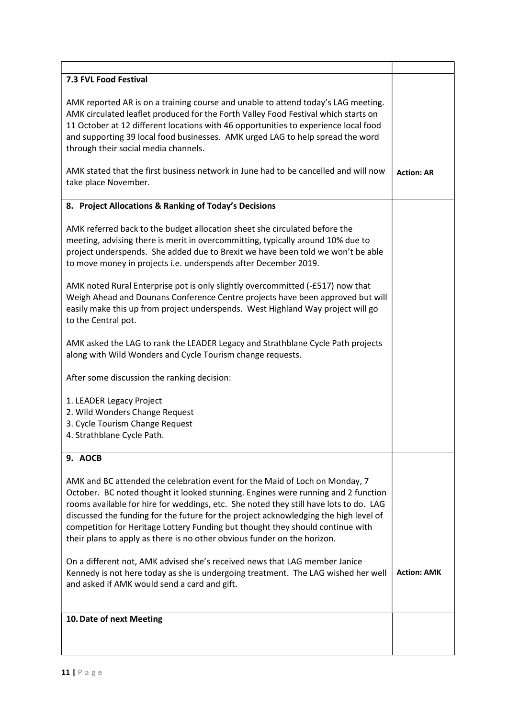| 7.3 FVL Food Festival                                                                                                                                                                                                                                                                                                                                                                                                                                                                                           |                    |
|-----------------------------------------------------------------------------------------------------------------------------------------------------------------------------------------------------------------------------------------------------------------------------------------------------------------------------------------------------------------------------------------------------------------------------------------------------------------------------------------------------------------|--------------------|
| AMK reported AR is on a training course and unable to attend today's LAG meeting.<br>AMK circulated leaflet produced for the Forth Valley Food Festival which starts on<br>11 October at 12 different locations with 46 opportunities to experience local food<br>and supporting 39 local food businesses. AMK urged LAG to help spread the word<br>through their social media channels.                                                                                                                        |                    |
| AMK stated that the first business network in June had to be cancelled and will now<br>take place November.                                                                                                                                                                                                                                                                                                                                                                                                     | <b>Action: AR</b>  |
| 8. Project Allocations & Ranking of Today's Decisions                                                                                                                                                                                                                                                                                                                                                                                                                                                           |                    |
| AMK referred back to the budget allocation sheet she circulated before the<br>meeting, advising there is merit in overcommitting, typically around 10% due to<br>project underspends. She added due to Brexit we have been told we won't be able<br>to move money in projects i.e. underspends after December 2019.                                                                                                                                                                                             |                    |
| AMK noted Rural Enterprise pot is only slightly overcommitted (-£517) now that<br>Weigh Ahead and Dounans Conference Centre projects have been approved but will<br>easily make this up from project underspends. West Highland Way project will go<br>to the Central pot.                                                                                                                                                                                                                                      |                    |
| AMK asked the LAG to rank the LEADER Legacy and Strathblane Cycle Path projects<br>along with Wild Wonders and Cycle Tourism change requests.                                                                                                                                                                                                                                                                                                                                                                   |                    |
| After some discussion the ranking decision:                                                                                                                                                                                                                                                                                                                                                                                                                                                                     |                    |
| 1. LEADER Legacy Project<br>2. Wild Wonders Change Request<br>3. Cycle Tourism Change Request<br>4. Strathblane Cycle Path.                                                                                                                                                                                                                                                                                                                                                                                     |                    |
| 9. AOCB                                                                                                                                                                                                                                                                                                                                                                                                                                                                                                         |                    |
| AMK and BC attended the celebration event for the Maid of Loch on Monday, 7<br>October. BC noted thought it looked stunning. Engines were running and 2 function<br>rooms available for hire for weddings, etc. She noted they still have lots to do. LAG<br>discussed the funding for the future for the project acknowledging the high level of<br>competition for Heritage Lottery Funding but thought they should continue with<br>their plans to apply as there is no other obvious funder on the horizon. |                    |
| On a different not, AMK advised she's received news that LAG member Janice<br>Kennedy is not here today as she is undergoing treatment. The LAG wished her well<br>and asked if AMK would send a card and gift.                                                                                                                                                                                                                                                                                                 | <b>Action: AMK</b> |
| 10. Date of next Meeting                                                                                                                                                                                                                                                                                                                                                                                                                                                                                        |                    |
|                                                                                                                                                                                                                                                                                                                                                                                                                                                                                                                 |                    |